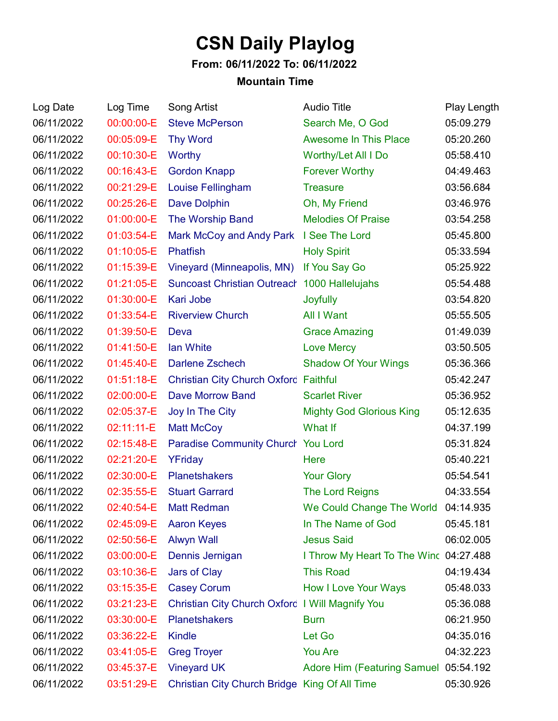## **CSN Daily Playlog**

## **From: 06/11/2022 To: 06/11/2022**

## **Mountain Time**

| Log Date   | Log Time   | Song Artist                                     | <b>Audio Title</b>                    | Play Length |
|------------|------------|-------------------------------------------------|---------------------------------------|-------------|
| 06/11/2022 | 00:00:00-E | <b>Steve McPerson</b>                           | Search Me, O God                      | 05:09.279   |
| 06/11/2022 | 00:05:09-E | <b>Thy Word</b>                                 | <b>Awesome In This Place</b>          | 05:20.260   |
| 06/11/2022 | 00:10:30-E | Worthy                                          | Worthy/Let All I Do                   | 05:58.410   |
| 06/11/2022 | 00:16:43-E | <b>Gordon Knapp</b>                             | <b>Forever Worthy</b>                 | 04:49.463   |
| 06/11/2022 | 00:21:29-E | Louise Fellingham                               | <b>Treasure</b>                       | 03:56.684   |
| 06/11/2022 | 00:25:26-E | <b>Dave Dolphin</b>                             | Oh, My Friend                         | 03:46.976   |
| 06/11/2022 | 01:00:00-E | The Worship Band                                | <b>Melodies Of Praise</b>             | 03:54.258   |
| 06/11/2022 | 01:03:54-E | Mark McCoy and Andy Park I See The Lord         |                                       | 05:45.800   |
| 06/11/2022 | 01:10:05-E | <b>Phatfish</b>                                 | <b>Holy Spirit</b>                    | 05:33.594   |
| 06/11/2022 | 01:15:39-E | Vineyard (Minneapolis, MN)                      | If You Say Go                         | 05:25.922   |
| 06/11/2022 | 01:21:05-E | Suncoast Christian Outreach 1000 Hallelujahs    |                                       | 05:54.488   |
| 06/11/2022 | 01:30:00-E | Kari Jobe                                       | Joyfully                              | 03:54.820   |
| 06/11/2022 | 01:33:54-E | <b>Riverview Church</b>                         | All I Want                            | 05:55.505   |
| 06/11/2022 | 01:39:50-E | Deva                                            | <b>Grace Amazing</b>                  | 01:49.039   |
| 06/11/2022 | 01:41:50-E | lan White                                       | <b>Love Mercy</b>                     | 03:50.505   |
| 06/11/2022 | 01:45:40-E | <b>Darlene Zschech</b>                          | <b>Shadow Of Your Wings</b>           | 05:36.366   |
| 06/11/2022 | 01:51:18-E | <b>Christian City Church Oxford Faithful</b>    |                                       | 05:42.247   |
| 06/11/2022 | 02:00:00-E | <b>Dave Morrow Band</b>                         | <b>Scarlet River</b>                  | 05:36.952   |
| 06/11/2022 | 02:05:37-E | Joy In The City                                 | <b>Mighty God Glorious King</b>       | 05:12.635   |
| 06/11/2022 | 02:11:11-E | <b>Matt McCoy</b>                               | What If                               | 04:37.199   |
| 06/11/2022 | 02:15:48-E | Paradise Community Church You Lord              |                                       | 05:31.824   |
| 06/11/2022 | 02:21:20-E | YFriday                                         | Here                                  | 05:40.221   |
| 06/11/2022 | 02:30:00-E | <b>Planetshakers</b>                            | <b>Your Glory</b>                     | 05:54.541   |
| 06/11/2022 | 02:35:55-E | <b>Stuart Garrard</b>                           | <b>The Lord Reigns</b>                | 04:33.554   |
| 06/11/2022 |            | 02:40:54-E Matt Redman                          | We Could Change The World 04:14.935   |             |
| 06/11/2022 | 02:45:09-E | <b>Aaron Keyes</b>                              | In The Name of God                    | 05:45.181   |
| 06/11/2022 | 02:50:56-E | <b>Alwyn Wall</b>                               | <b>Jesus Said</b>                     | 06:02.005   |
| 06/11/2022 | 03:00:00-E | Dennis Jernigan                                 | I Throw My Heart To The Winc          | 04:27.488   |
| 06/11/2022 | 03:10:36-E | Jars of Clay                                    | <b>This Road</b>                      | 04:19.434   |
| 06/11/2022 | 03:15:35-E | <b>Casey Corum</b>                              | <b>How I Love Your Ways</b>           | 05:48.033   |
| 06/11/2022 | 03:21:23-E | Christian City Church Oxford I Will Magnify You |                                       | 05:36.088   |
| 06/11/2022 | 03:30:00-E | <b>Planetshakers</b>                            | <b>Burn</b>                           | 06:21.950   |
| 06/11/2022 | 03:36:22-E | <b>Kindle</b>                                   | Let Go                                | 04:35.016   |
| 06/11/2022 | 03:41:05-E | <b>Greg Troyer</b>                              | <b>You Are</b>                        | 04:32.223   |
| 06/11/2022 | 03:45:37-E | <b>Vineyard UK</b>                              | Adore Him (Featuring Samuel 05:54.192 |             |
| 06/11/2022 | 03:51:29-E | Christian City Church Bridge King Of All Time   |                                       | 05:30.926   |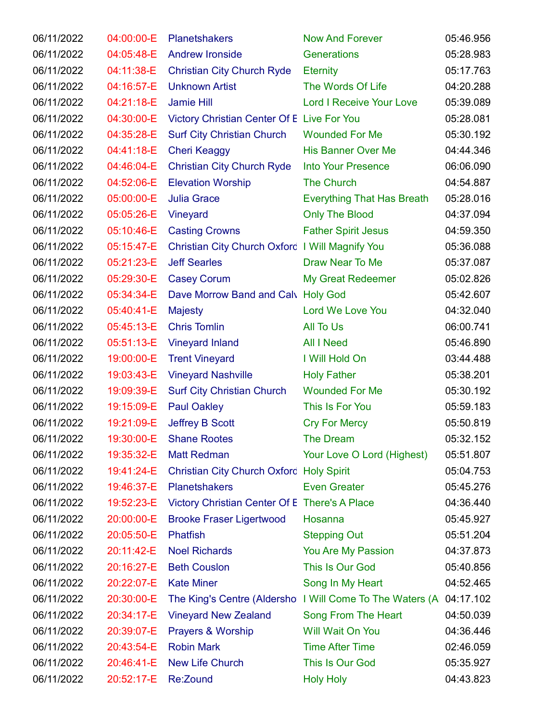| 06/11/2022 | 04:00:00-E | <b>Planetshakers</b>                            | <b>Now And Forever</b>                                             | 05:46.956 |
|------------|------------|-------------------------------------------------|--------------------------------------------------------------------|-----------|
| 06/11/2022 | 04:05:48-E | <b>Andrew Ironside</b>                          | Generations                                                        | 05:28.983 |
| 06/11/2022 | 04:11:38-E | <b>Christian City Church Ryde</b>               | <b>Eternity</b>                                                    | 05:17.763 |
| 06/11/2022 | 04:16:57-E | <b>Unknown Artist</b>                           | The Words Of Life                                                  | 04:20.288 |
| 06/11/2022 | 04:21:18-E | <b>Jamie Hill</b>                               | <b>Lord I Receive Your Love</b>                                    | 05:39.089 |
| 06/11/2022 | 04:30:00-E | Victory Christian Center Of E Live For You      |                                                                    | 05:28.081 |
| 06/11/2022 | 04:35:28-E | <b>Surf City Christian Church</b>               | <b>Wounded For Me</b>                                              | 05:30.192 |
| 06/11/2022 | 04:41:18-E | <b>Cheri Keaggy</b>                             | <b>His Banner Over Me</b>                                          | 04:44.346 |
| 06/11/2022 | 04:46:04-E | <b>Christian City Church Ryde</b>               | <b>Into Your Presence</b>                                          | 06:06.090 |
| 06/11/2022 | 04:52:06-E | <b>Elevation Worship</b>                        | <b>The Church</b>                                                  | 04:54.887 |
| 06/11/2022 | 05:00:00-E | <b>Julia Grace</b>                              | <b>Everything That Has Breath</b>                                  | 05:28.016 |
| 06/11/2022 | 05:05:26-E | Vineyard                                        | <b>Only The Blood</b>                                              | 04:37.094 |
| 06/11/2022 | 05:10:46-E | <b>Casting Crowns</b>                           | <b>Father Spirit Jesus</b>                                         | 04:59.350 |
| 06/11/2022 | 05:15:47-E | Christian City Church Oxford I Will Magnify You |                                                                    | 05:36.088 |
| 06/11/2022 | 05:21:23-E | <b>Jeff Searles</b>                             | Draw Near To Me                                                    | 05:37.087 |
| 06/11/2022 | 05:29:30-E | <b>Casey Corum</b>                              | <b>My Great Redeemer</b>                                           | 05:02.826 |
| 06/11/2022 | 05:34:34-E | Dave Morrow Band and Calv Holy God              |                                                                    | 05:42.607 |
| 06/11/2022 | 05:40:41-E | <b>Majesty</b>                                  | Lord We Love You                                                   | 04:32.040 |
| 06/11/2022 | 05:45:13-E | <b>Chris Tomlin</b>                             | <b>All To Us</b>                                                   | 06:00.741 |
| 06/11/2022 | 05:51:13-E | <b>Vineyard Inland</b>                          | <b>All I Need</b>                                                  | 05:46.890 |
| 06/11/2022 | 19:00:00-E | <b>Trent Vineyard</b>                           | I Will Hold On                                                     | 03:44.488 |
| 06/11/2022 | 19:03:43-E | <b>Vineyard Nashville</b>                       | <b>Holy Father</b>                                                 | 05:38.201 |
| 06/11/2022 | 19:09:39-E | <b>Surf City Christian Church</b>               | <b>Wounded For Me</b>                                              | 05:30.192 |
| 06/11/2022 | 19:15:09-E | <b>Paul Oakley</b>                              | This Is For You                                                    | 05:59.183 |
| 06/11/2022 | 19:21:09-E | <b>Jeffrey B Scott</b>                          | <b>Cry For Mercy</b>                                               | 05:50.819 |
| 06/11/2022 | 19:30:00-E | <b>Shane Rootes</b>                             | The Dream                                                          | 05:32.152 |
| 06/11/2022 | 19:35:32-E | <b>Matt Redman</b>                              | Your Love O Lord (Highest)                                         | 05:51.807 |
| 06/11/2022 | 19:41:24-E | Christian City Church Oxford Holy Spirit        |                                                                    | 05:04.753 |
| 06/11/2022 | 19:46:37-E | <b>Planetshakers</b>                            | <b>Even Greater</b>                                                | 05:45.276 |
| 06/11/2022 | 19:52:23-E | Victory Christian Center Of E There's A Place   |                                                                    | 04:36.440 |
| 06/11/2022 | 20:00:00-E | <b>Brooke Fraser Ligertwood</b>                 | Hosanna                                                            | 05:45.927 |
| 06/11/2022 | 20:05:50-E | <b>Phatfish</b>                                 | <b>Stepping Out</b>                                                | 05:51.204 |
| 06/11/2022 | 20:11:42-E | <b>Noel Richards</b>                            | You Are My Passion                                                 | 04:37.873 |
| 06/11/2022 | 20:16:27-E | <b>Beth Couslon</b>                             | This Is Our God                                                    | 05:40.856 |
| 06/11/2022 | 20:22:07-E | <b>Kate Miner</b>                               | Song In My Heart                                                   | 04:52.465 |
| 06/11/2022 | 20:30:00-E |                                                 | The King's Centre (Aldersho I Will Come To The Waters (A 04:17.102 |           |
| 06/11/2022 | 20:34:17-E | <b>Vineyard New Zealand</b>                     | Song From The Heart                                                | 04:50.039 |
| 06/11/2022 | 20:39:07-E | Prayers & Worship                               | Will Wait On You                                                   | 04:36.446 |
| 06/11/2022 | 20:43:54-E | <b>Robin Mark</b>                               | <b>Time After Time</b>                                             | 02:46.059 |
| 06/11/2022 | 20:46:41-E | New Life Church                                 | This Is Our God                                                    | 05:35.927 |
| 06/11/2022 | 20:52:17-E | Re:Zound                                        | <b>Holy Holy</b>                                                   | 04:43.823 |